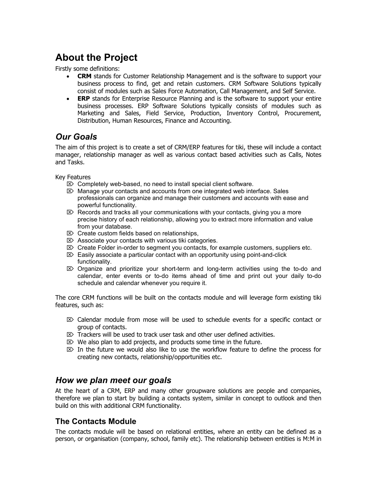# **About the Project**

Firstly some definitions:

- **CRM** stands for Customer Relationship Management and is the software to support your business process to find, get and retain customers. CRM Software Solutions typically consist of modules such as Sales Force Automation, Call Management, and Self Service.
- **ERP** stands for Enterprise Resource Planning and is the software to support your entire business processes. ERP Software Solutions typically consists of modules such as Marketing and Sales, Field Service, Production, Inventory Control, Procurement, Distribution, Human Resources, Finance and Accounting.

## *Our Goals*

The aim of this project is to create a set of CRM/ERP features for tiki, these will include a contact manager, relationship manager as well as various contact based activities such as Calls, Notes and Tasks.

Key Features

- $\mathbb{Z}$  Completely web-based, no need to install special client software.
- $\mathbb{Z}$  Manage your contacts and accounts from one integrated web interface. Sales professionals can organize and manage their customers and accounts with ease and powerful functionality.
- $\mathbb{Z}$  Records and tracks all your communications with your contacts, giving you a more precise history of each relationship, allowing you to extract more information and value from your database.
- $\triangleright$  Create custom fields based on relationships,
- $\mathbb{Z}$  Associate your contacts with various tiki categories.
- $\mathbb{Z}$  Create Folder in-order to segment you contacts, for example customers, suppliers etc.
- $\mathbb{Z}$  Easily associate a particular contact with an opportunity using point-and-click functionality.
- $\mathbb{Z}$  Organize and prioritize your short-term and long-term activities using the to-do and calendar, enter events or to-do items ahead of time and print out your daily to-do schedule and calendar whenever you require it.

The core CRM functions will be built on the contacts module and will leverage form existing tiki features, such as:

- $\mathbb{Z}$  Calendar module from mose will be used to schedule events for a specific contact or group of contacts.
- $\boxtimes$  Trackers will be used to track user task and other user defined activities.
- $\mathbb{Z}$  We also plan to add projects, and products some time in the future.
- $\mathbb{Z}$  In the future we would also like to use the workflow feature to define the process for creating new contacts, relationship/opportunities etc.

### *How we plan meet our goals*

At the heart of a CRM, ERP and many other groupware solutions are people and companies, therefore we plan to start by building a contacts system, similar in concept to outlook and then build on this with additional CRM functionality.

### **The Contacts Module**

The contacts module will be based on relational entities, where an entity can be defined as a person, or organisation (company, school, family etc). The relationship between entities is M:M in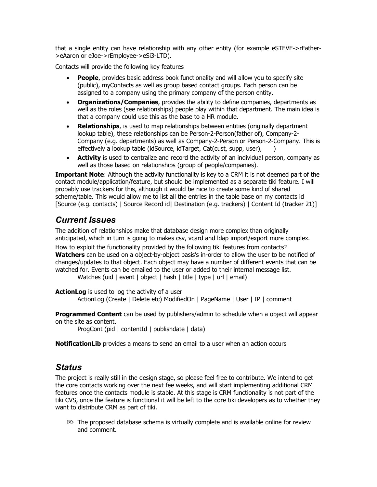that a single entity can have relationship with any other entity (for example eSTEVE->rFather- >eAaron or eJoe->rEmployee->eSi3-LTD).

Contacts will provide the following key features

- **People**, provides basic address book functionality and will allow you to specify site (public), myContacts as well as group based contact groups. Each person can be assigned to a company using the primary company of the person entity.
- **Organizations/Companies**, provides the ability to define companies, departments as well as the roles (see relationships) people play within that department. The main idea is that a company could use this as the base to a HR module.
- **Relationships**, is used to map relationships between entities (originally department lookup table), these relationships can be Person-2-Person(father of), Company-2- Company (e.g. departments) as well as Company-2-Person or Person-2-Company. This is effectively a lookup table (idSource, idTarget, Cat(cust, supp, user),
- **Activity** is used to centralize and record the activity of an individual person, company as well as those based on relationships (group of people/companies).

**Important Note**: Although the activity functionality is key to a CRM it is not deemed part of the contact module/application/feature, but should be implemented as a separate tiki feature. I will probably use trackers for this, although it would be nice to create some kind of shared scheme/table. This would allow me to list all the entries in the table base on my contacts id [Source (e.g. contacts) | Source Record id| Destination (e.g. trackers) | Content Id (tracker 21)]

## *Current Issues*

The addition of relationships make that database design more complex than originally anticipated, which in turn is going to makes csv, vcard and ldap import/export more complex.

How to exploit the functionality provided by the following tiki features from contacts? **Watchers** can be used on a object-by-object basis's in-order to allow the user to be notified of changes/updates to that object. Each object may have a number of different events that can be watched for. Events can be emailed to the user or added to their internal message list.

Watches (uid | event | object | hash | title | type | url | email)

**ActionLog** is used to log the activity of a user ActionLog (Create | Delete etc) ModifiedOn | PageName | User | IP | comment

**Programmed Content** can be used by publishers/admin to schedule when a object will appear on the site as content.

ProgCont (pid | contentId | publishdate | data)

**NotificationLib** provides a means to send an email to a user when an action occurs

### *Status*

The project is really still in the design stage, so please feel free to contribute. We intend to get the core contacts working over the next fee weeks, and will start implementing additional CRM features once the contacts module is stable. At this stage is CRM functionality is not part of the tiki CVS, once the feature is functional it will be left to the core tiki developers as to whether they want to distribute CRM as part of tiki.

 $\mathbb{Z}$  The proposed database schema is virtually complete and is available online for review and comment.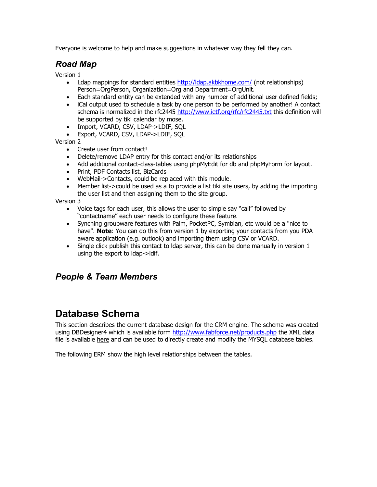Everyone is welcome to help and make suggestions in whatever way they fell they can.

## *Road Map*

Version 1

- Ldap mappings for standard entities http://ldap.akbkhome.com/ (not relationships) Person=OrgPerson, Organization=Org and Department=OrgUnit.
- Each standard entity can be extended with any number of additional user defined fields;
- iCal output used to schedule a task by one person to be performed by another! A contact schema is normalized in the rfc2445 http://www.ietf.org/rfc/rfc2445.txt this definition will be supported by tiki calendar by mose.
- Import, VCARD, CSV, LDAP->LDIF, SQL
- Export, VCARD, CSV, LDAP->LDIF, SQL

Version 2

- Create user from contact!
- Delete/remove LDAP entry for this contact and/or its relationships
- Add additional contact-class-tables using phpMyEdit for db and phpMyForm for layout.
- Print, PDF Contacts list, BizCards
- WebMail->Contacts, could be replaced with this module.
- Member list->could be used as a to provide a list tiki site users, by adding the importing the user list and then assigning them to the site group.

Version 3

- Voice tags for each user, this allows the user to simple say "call" followed by "contactname" each user needs to configure these feature.
- Synching groupware features with Palm, PocketPC, Symbian, etc would be a "nice to have". **Note**: You can do this from version 1 by exporting your contacts from you PDA aware application (e.g. outlook) and importing them using CSV or VCARD.
- Single click publish this contact to Idap server, this can be done manually in version 1 using the export to ldap->ldif.

## *People & Team Members*

# **Database Schema**

This section describes the current database design for the CRM engine. The schema was created using DBDesigner4 which is available form http://www.fabforce.net/products.php the XML data file is available here and can be used to directly create and modify the MYSQL database tables.

The following ERM show the high level relationships between the tables.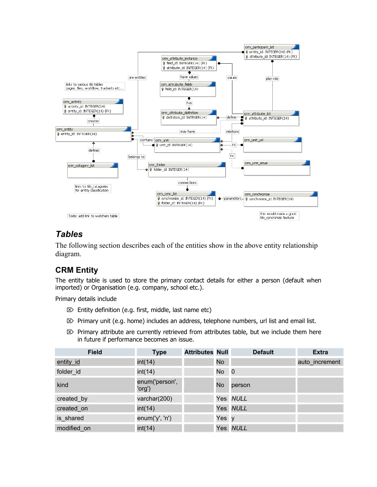

## *Tables*

The following section describes each of the entities show in the above entity relationship diagram.

## **CRM Entity**

The entity table is used to store the primary contact details for either a person (default when imported) or Organisation (e.g. company, school etc.).

Primary details include

- $\mathbb{Z}$  Entity definition (e.g. first, middle, last name etc)
- $\mathbb{E}$  Primary unit (e.g. home) includes an address, telephone numbers, url list and email list.
- $\mathbb{Z}$  Primary attribute are currently retrieved from attributes table, but we include them here in future if performance becomes an issue.

| <b>Field</b> | <b>Type</b>              | <b>Attributes Null</b> |           | <b>Default</b> | <b>Extra</b>   |
|--------------|--------------------------|------------------------|-----------|----------------|----------------|
| entity id    | int(14)                  |                        | <b>No</b> |                | auto increment |
| folder_id    | int(14)                  |                        | No 0      |                |                |
| kind         | enum('person',<br>'org') |                        | <b>No</b> | person         |                |
| created_by   | varchar(200)             |                        |           | Yes NULL       |                |
| created_on   | int(14)                  |                        |           | Yes NULL       |                |
| is shared    | enum('y', 'n')           |                        | Yes y     |                |                |
| modified_on  | int(14)                  |                        |           | Yes NULL       |                |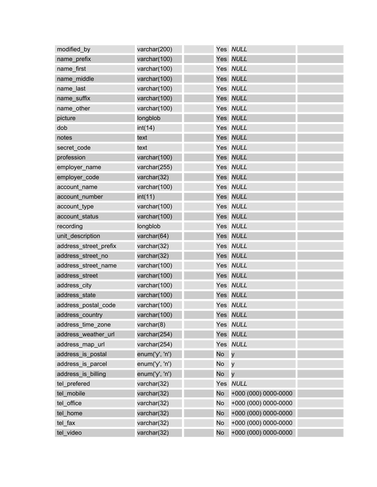| modified_by           | varchar(200)   |           | Yes NULL             |  |
|-----------------------|----------------|-----------|----------------------|--|
| name_prefix           | varchar(100)   |           | Yes NULL             |  |
| name_first            | varchar(100)   |           | Yes NULL             |  |
| name middle           | varchar(100)   |           | Yes NULL             |  |
| name_last             | varchar(100)   |           | Yes NULL             |  |
| name_suffix           | varchar(100)   |           | Yes NULL             |  |
| name_other            | varchar(100)   |           | Yes NULL             |  |
| picture               | longblob       |           | Yes NULL             |  |
| dob                   | int(14)        |           | Yes NULL             |  |
| notes                 | text           |           | Yes NULL             |  |
| secret_code           | text           |           | Yes NULL             |  |
| profession            | varchar(100)   |           | Yes NULL             |  |
| employer name         | varchar(255)   |           | Yes NULL             |  |
| employer_code         | varchar(32)    |           | Yes NULL             |  |
| account_name          | varchar(100)   |           | Yes NULL             |  |
| account number        | int(11)        |           | Yes NULL             |  |
| account_type          | varchar(100)   |           | Yes NULL             |  |
| account status        | varchar(100)   |           | Yes NULL             |  |
| recording             | longblob       |           | Yes NULL             |  |
| unit_description      | varchar(64)    |           | Yes NULL             |  |
| address_street_prefix | varchar(32)    |           | Yes NULL             |  |
| address street no     | varchar(32)    |           | Yes NULL             |  |
| address_street_name   | varchar(100)   |           | Yes NULL             |  |
| address_street        | varchar(100)   |           | Yes NULL             |  |
| address_city          | varchar(100)   |           | Yes NULL             |  |
| address_state         | varchar(100)   |           | Yes NULL             |  |
| address postal code   | varchar(100)   |           | Yes NULL             |  |
| address country       | varchar(100)   |           | Yes NULL             |  |
| address_time_zone     | varchar(8)     |           | Yes NULL             |  |
| address_weather_url   | varchar(254)   |           | Yes NULL             |  |
| address map url       | varchar(254)   |           | Yes NULL             |  |
| address_is_postal     | enum('y', 'n') | <b>No</b> | $\mathsf{V}$         |  |
| address_is_parcel     | enum('y', 'n') | <b>No</b> | y                    |  |
| address_is_billing    | enum('y', 'n') | <b>No</b> | y                    |  |
| tel prefered          | varchar(32)    | Yes       | <b>NULL</b>          |  |
| tel mobile            | varchar(32)    | <b>No</b> | +000 (000) 0000-0000 |  |
| tel office            | varchar(32)    | <b>No</b> | +000 (000) 0000-0000 |  |
| tel_home              | varchar(32)    | <b>No</b> | +000 (000) 0000-0000 |  |
| tel_fax               | varchar(32)    | <b>No</b> | +000 (000) 0000-0000 |  |
| tel_video             | varchar(32)    | <b>No</b> | +000 (000) 0000-0000 |  |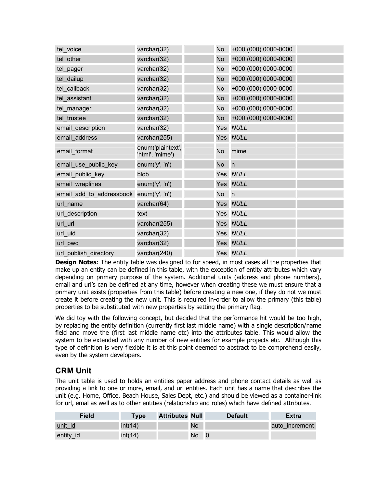| tel voice                | varchar(32)                          | No.       | +000 (000) 0000-0000 |  |
|--------------------------|--------------------------------------|-----------|----------------------|--|
| tel_other                | varchar(32)                          | <b>No</b> | +000 (000) 0000-0000 |  |
| tel_pager                | varchar(32)                          | <b>No</b> | +000 (000) 0000-0000 |  |
| tel dailup               | varchar(32)                          | <b>No</b> | +000 (000) 0000-0000 |  |
| tel_callback             | varchar(32)                          | <b>No</b> | +000 (000) 0000-0000 |  |
| tel assistant            | varchar(32)                          | <b>No</b> | +000 (000) 0000-0000 |  |
| tel manager              | varchar(32)                          | <b>No</b> | +000 (000) 0000-0000 |  |
| tel_trustee              | varchar(32)                          | <b>No</b> | +000 (000) 0000-0000 |  |
| email_description        | varchar(32)                          |           | Yes NULL             |  |
| email_address            | varchar(255)                         |           | Yes NULL             |  |
| email_format             | enum('plaintext',<br>'html', 'mime') | <b>No</b> | mime                 |  |
| email_use_public_key     | enum('y', 'n')                       | <b>No</b> | $\mathsf{n}$         |  |
| email_public_key         | blob                                 |           | Yes NULL             |  |
| email_wraplines          | enum('y', 'n')                       |           | Yes NULL             |  |
| email_add_to_addressbook | enum('y', 'n')                       | <b>No</b> | n                    |  |
| url_name                 | varchar(64)                          |           | Yes NULL             |  |
| url_description          | text                                 |           | Yes NULL             |  |
| url_url                  | varchar(255)                         |           | Yes NULL             |  |
| url_uid                  | varchar(32)                          |           | Yes NULL             |  |
| url_pwd                  | varchar(32)                          |           | Yes NULL             |  |
| url publish directory    | varchar(240)                         |           | Yes NULL             |  |

**Design Notes:** The entity table was designed to for speed, in most cases all the properties that make up an entity can be defined in this table, with the exception of entity attributes which vary depending on primary purpose of the system. Additional units (address and phone numbers), email and url's can be defined at any time, however when creating these we must ensure that a primary unit exists (properties from this table) before creating a new one, if they do not we must create it before creating the new unit. This is required in-order to allow the primary (this table) properties to be substituted with new properties by setting the primary flag.

We did toy with the following concept, but decided that the performance hit would be too high, by replacing the entity definition (currently first last middle name) with a single description/name field and move the (first last middle name etc) into the attributes table. This would allow the system to be extended with any number of new entities for example projects etc. Although this type of definition is very flexible it is at this point deemed to abstract to be comprehend easily, even by the system developers.

## **CRM Unit**

The unit table is used to holds an entities paper address and phone contact details as well as providing a link to one or more, email, and url entities. Each unit has a name that describes the unit (e.g. Home, Office, Beach House, Sales Dept, etc.) and should be viewed as a container-link for url, emal as well as to other entities (relationship and roles) which have defined attributes.

| Field          | Type    | <b>Attributes Null</b> |           | <b>Default</b> | <b>Extra</b>   |
|----------------|---------|------------------------|-----------|----------------|----------------|
| <u>unit id</u> | int(14) |                        | <b>No</b> |                | auto increment |
| entity id      | int(14) |                        | No.       |                |                |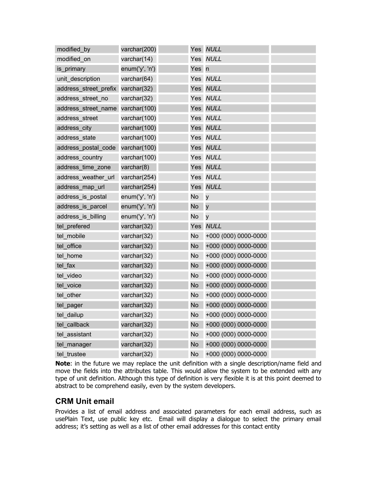| modified by           | varchar(200)   |           | Yes NULL             |  |
|-----------------------|----------------|-----------|----------------------|--|
| modified on           | varchar(14)    | Yes       | <b>NULL</b>          |  |
| is primary            | enum('y', 'n') | Yes       | n                    |  |
| unit description      | varchar(64)    | Yes       | <b>NULL</b>          |  |
| address_street_prefix | varchar(32)    | Yes       | <b>NULL</b>          |  |
| address street no     | varchar(32)    |           | Yes NULL             |  |
| address street name   | varchar(100)   | Yes       | <b>NULL</b>          |  |
| address street        | varchar(100)   |           | Yes NULL             |  |
| address city          | varchar(100)   |           | Yes NULL             |  |
| address_state         | varchar(100)   | Yes       | <b>NULL</b>          |  |
| address_postal_code   | varchar(100)   | Yes       | <b>NULL</b>          |  |
| address_country       | varchar(100)   | Yes       | <b>NULL</b>          |  |
| address time zone     | varchar(8)     | Yes       | <b>NULL</b>          |  |
| address_weather_url   | varchar(254)   |           | Yes NULL             |  |
| address_map_url       | varchar(254)   | Yes       | <b>NULL</b>          |  |
| address is postal     | enum('y', 'n') | <b>No</b> | y                    |  |
| address_is_parcel     | enum('y', 'n') | <b>No</b> | y                    |  |
| address is billing    | enum('y', 'n') | <b>No</b> | $\mathsf{V}$         |  |
| tel prefered          | varchar(32)    | Yes       | <b>NULL</b>          |  |
| tel_mobile            | varchar(32)    | <b>No</b> | +000 (000) 0000-0000 |  |
| tel office            | varchar(32)    | <b>No</b> | +000 (000) 0000-0000 |  |
| tel home              | varchar(32)    | <b>No</b> | +000 (000) 0000-0000 |  |
| tel fax               | varchar(32)    | <b>No</b> | +000 (000) 0000-0000 |  |
| tel video             | varchar(32)    | <b>No</b> | +000 (000) 0000-0000 |  |
| tel voice             | varchar(32)    | <b>No</b> | +000 (000) 0000-0000 |  |
| tel_other             | varchar(32)    | <b>No</b> | +000 (000) 0000-0000 |  |
| tel_pager             | varchar(32)    | <b>No</b> | +000 (000) 0000-0000 |  |
| tel_dailup            | varchar(32)    | <b>No</b> | +000 (000) 0000-0000 |  |
| tel_callback          | varchar(32)    | <b>No</b> | +000 (000) 0000-0000 |  |
| tel_assistant         | varchar(32)    | <b>No</b> | +000 (000) 0000-0000 |  |
| tel manager           | varchar(32)    | <b>No</b> | +000 (000) 0000-0000 |  |
| tel trustee           | varchar(32)    | <b>No</b> | +000 (000) 0000-0000 |  |

**Note**: in the future we may replace the unit definition with a single description/name field and move the fields into the attributes table. This would allow the system to be extended with any type of unit definition. Although this type of definition is very flexible it is at this point deemed to abstract to be comprehend easily, even by the system developers.

### **CRM Unit email**

Provides a list of email address and associated parameters for each email address, such as usePlain Text, use public key etc. Email will display a dialogue to select the primary email address; it's setting as well as a list of other email addresses for this contact entity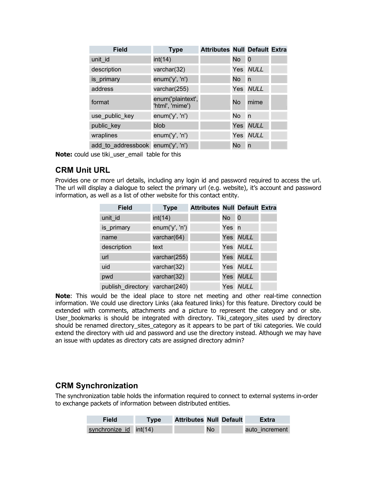| <b>Field</b>                      | <b>Type</b>                          | <b>Attributes Null Default Extra</b> |           |             |  |
|-----------------------------------|--------------------------------------|--------------------------------------|-----------|-------------|--|
| unit id                           | int(14)                              |                                      | <b>No</b> | $\mathbf 0$ |  |
| description                       | varchar(32)                          |                                      |           | Yes NULL    |  |
| is primary                        | enum('y', 'n')                       |                                      | No.       | n           |  |
| address                           | varchar(255)                         |                                      |           | Yes NULL    |  |
| format                            | enum('plaintext',<br>'html', 'mime') |                                      | No        | mime        |  |
| use_public_key                    | enum('y', 'n')                       |                                      | No.       | n           |  |
| public_key                        | blob                                 |                                      |           | Yes NULL    |  |
| wraplines                         | enum('y', 'n')                       |                                      |           | Yes NULL    |  |
| add to addressbook enum('y', 'n') |                                      |                                      | No.       | n           |  |

**Note:** could use tiki\_user\_email table for this

### **CRM Unit URL**

Provides one or more url details, including any login id and password required to access the url. The url will display a dialogue to select the primary url (e.g. website), it's account and password information, as well as a list of other website for this contact entity.

| <b>Field</b>                   | <b>Type</b>    | <b>Attributes Null Default Extra</b> |           |             |  |
|--------------------------------|----------------|--------------------------------------|-----------|-------------|--|
| unit id                        | int(14)        |                                      | <b>No</b> | $\mathbf 0$ |  |
| is_primary                     | enum('y', 'n') |                                      | Yes n     |             |  |
| name                           | varchar(64)    |                                      |           | Yes NULL    |  |
| description                    | text           |                                      |           | Yes NULL    |  |
| url                            | varchar(255)   |                                      |           | Yes NULL    |  |
| uid                            | varchar(32)    |                                      |           | Yes NULL    |  |
| pwd                            | varchar(32)    |                                      |           | Yes NULL    |  |
| publish directory varchar(240) |                |                                      |           | Yes NULL    |  |

**Note**: This would be the ideal place to store net meeting and other real-time connection information. We could use directory Links (aka featured links) for this feature. Directory could be extended with comments, attachments and a picture to represent the category and or site. User\_bookmarks is should be integrated with directory. Tiki\_category\_sites used by directory should be renamed directory\_sites\_category as it appears to be part of tiki categories. We could extend the directory with uid and password and use the directory instead. Although we may have an issue with updates as directory cats are assigned directory admin?

### **CRM Synchronization**

The synchronization table holds the information required to connect to external systems in-order to exchange packets of information between distributed entities.

| Field                  | <b>Type</b> | <b>Attributes Null Default</b> |           |  | Extra          |
|------------------------|-------------|--------------------------------|-----------|--|----------------|
| synchronize id int(14) |             |                                | <b>No</b> |  | auto increment |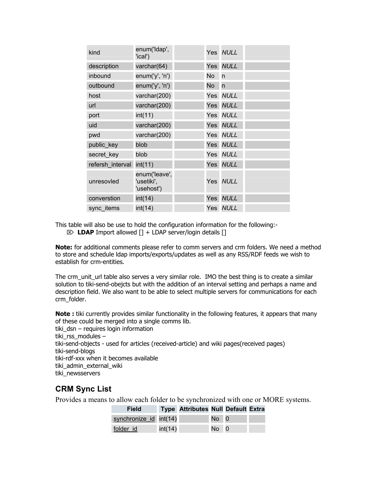| kind             | enum('Idap',<br>'ical')                   |     | Yes NULL    |  |
|------------------|-------------------------------------------|-----|-------------|--|
| description      | varchar(64)                               |     | Yes NULL    |  |
| inbound          | enum('y', 'n')                            | No. | n           |  |
| outbound         | enum('y', 'n')                            | No  | n           |  |
| host             | varchar(200)                              |     | Yes NULL    |  |
| url              | varchar(200)                              |     | Yes NULL    |  |
| port             | int(11)                                   |     | Yes NULL    |  |
| uid              | varchar(200)                              |     | Yes NULL    |  |
| pwd              | varchar(200)                              |     | Yes NULL    |  |
| public_key       | blob                                      |     | Yes NULL    |  |
| secret key       | blob                                      |     | Yes NULL    |  |
| refersh interval | int(11)                                   |     | Yes NULL    |  |
| unresovled       | enum('leave',<br>ˈusetiki',<br>'usehost') |     | Yes NULL    |  |
| converstion      | int(14)                                   | Yes | <b>NULL</b> |  |
| sync items       | int(14)                                   |     | Yes NULL    |  |

This table will also be use to hold the configuration information for the following:-

⌦ **LDAP** Import allowed [] + LDAP server/login details []

**Note:** for additional comments please refer to comm servers and crm folders. We need a method to store and schedule ldap imports/exports/updates as well as any RSS/RDF feeds we wish to establish for crm-entities.

The crm\_unit\_url table also serves a very similar role. IMO the best thing is to create a similar solution to tiki-send-obejcts but with the addition of an interval setting and perhaps a name and description field. We also want to be able to select multiple servers for communications for each crm\_folder.

**Note :** tiki currently provides similar functionality in the following features, it appears that many of these could be merged into a single comms lib.

```
tiki dsn – requires login information
tiki rss modules –
tiki-send-objects - used for articles (received-article) and wiki pages(received pages) 
tiki-send-blogs 
tiki-rdf-xxx when it becomes available 
tiki admin external wiki
tiki newsservers
```
## **CRM Sync List**

Provides a means to allow each folder to be synchronized with one or MORE systems.

| <b>Field</b>           |         | <b>Type Attributes Null Default Extra</b> |        |  |
|------------------------|---------|-------------------------------------------|--------|--|
| synchronize id int(14) |         |                                           | No 0   |  |
| folder id              | int(14) |                                           | $No$ 0 |  |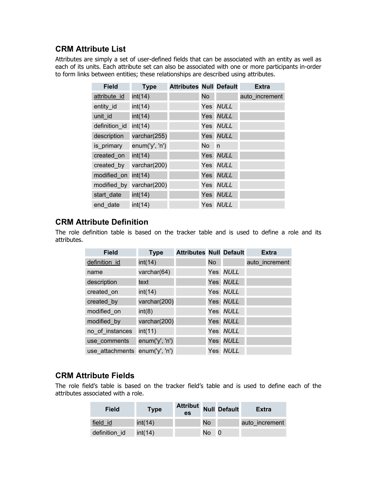### **CRM Attribute List**

Attributes are simply a set of user-defined fields that can be associated with an entity as well as each of its units. Each attribute set can also be associated with one or more participants in-order to form links between entities; these relationships are described using attributes.

| <b>Field</b>  | <b>Type</b>              | <b>Attributes Null Default</b> |      |          | <b>Extra</b>   |
|---------------|--------------------------|--------------------------------|------|----------|----------------|
| attribute id  | int(14)                  |                                | No   |          | auto increment |
| entity_id     | int(14)                  |                                |      | Yes NULL |                |
| unit id       | int(14)                  |                                |      | Yes NULL |                |
| definition id | int(14)                  |                                |      | Yes NULL |                |
| description   | varchar(255)             |                                |      | Yes NULL |                |
| is primary    | enum('y', 'n')           |                                | No n |          |                |
| created_on    | int(14)                  |                                |      | Yes NULL |                |
| created_by    | varchar(200)             |                                |      | Yes NULL |                |
| modified on   | int(14)                  |                                |      | Yes NULL |                |
|               | modified by varchar(200) |                                |      | Yes NULL |                |
| start date    | int(14)                  |                                |      | Yes NULL |                |
| end date      | int(14)                  |                                |      | Yes NULL |                |

### **CRM Attribute Definition**

The role definition table is based on the tracker table and is used to define a role and its attributes.

| <b>Field</b>                   | <b>Type</b>    | <b>Attributes Null Default</b> |           |          | <b>Extra</b>   |
|--------------------------------|----------------|--------------------------------|-----------|----------|----------------|
| definition id                  | int(14)        |                                | <b>No</b> |          | auto increment |
| name                           | varchar(64)    |                                |           | Yes NULL |                |
| description                    | text           |                                |           | Yes NULL |                |
| created on                     | int(14)        |                                |           | Yes NULL |                |
| created by                     | varchar(200)   |                                |           | Yes NULL |                |
| modified on                    | int(8)         |                                |           | Yes NULL |                |
| modified by                    | varchar(200)   |                                |           | Yes NULL |                |
| no_of_instances                | int(11)        |                                |           | Yes NULL |                |
| use comments                   | enum('y', 'n') |                                |           | Yes NULL |                |
| use attachments enum('y', 'n') |                |                                |           | Yes NULL |                |

### **CRM Attribute Fields**

The role field's table is based on the tracker field's table and is used to define each of the attributes associated with a role.

| <b>Field</b>  | <b>Type</b> | <b>Attribut</b> Null Default<br>es |           | <b>Extra</b>   |
|---------------|-------------|------------------------------------|-----------|----------------|
| field id      | int(14)     |                                    | <b>No</b> | auto increment |
| definition id | int(14)     |                                    | No        |                |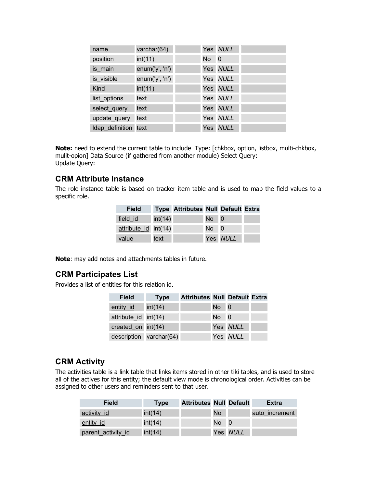| name                 | varchar(64)    |        | Yes NULL |  |
|----------------------|----------------|--------|----------|--|
| position             | int(11)        | $No$ 0 |          |  |
| is main              | enum('y', 'n') |        | Yes NULL |  |
| is visible           | enum('y', 'n') |        | Yes NULL |  |
| Kind                 | int(11)        |        | Yes NULL |  |
| list_options         | text           |        | Yes NULL |  |
| select query         | text           |        | Yes NULL |  |
| update_query         | text           |        | Yes NULL |  |
| Idap definition text |                |        | Yes NULL |  |

**Note:** need to extend the current table to include Type: [chkbox, option, listbox, multi-chkbox, mulit-opion] Data Source (if gathered from another module) Select Query: Update Query:

### **CRM Attribute Instance**

The role instance table is based on tracker item table and is used to map the field values to a specific role.

| <b>Field</b>         |         | <b>Type Attributes Null Default Extra</b> |        |          |  |
|----------------------|---------|-------------------------------------------|--------|----------|--|
| field id             | int(14) |                                           | $No$ 0 |          |  |
| attribute id int(14) |         |                                           | $No$ 0 |          |  |
| value                | text    |                                           |        | Yes NULL |  |

**Note**: may add notes and attachments tables in future.

### **CRM Participates List**

Provides a list of entities for this relation id.

| <b>Field</b>         | <b>Type</b>             | <b>Attributes Null Default Extra</b> |        |          |  |
|----------------------|-------------------------|--------------------------------------|--------|----------|--|
| entity id            | int(14)                 |                                      | $No$ 0 |          |  |
| attribute id int(14) |                         |                                      | $No$ 0 |          |  |
| created_on int(14)   |                         |                                      |        | Yes NULL |  |
|                      | description varchar(64) |                                      |        | Yes NULL |  |

#### **CRM Activity**

The activities table is a link table that links items stored in other tiki tables, and is used to store all of the actives for this entity; the default view mode is chronological order. Activities can be assigned to other users and reminders sent to that user.

| <b>Field</b>       | <b>Type</b> | <b>Attributes Null Default</b> |     |          | <b>Extra</b>   |
|--------------------|-------------|--------------------------------|-----|----------|----------------|
| activity id        | int(14)     |                                | No. |          | auto increment |
| entity id          | int(14)     |                                | No  | - 0      |                |
| parent_activity_id | int(14)     |                                |     | Yes NULL |                |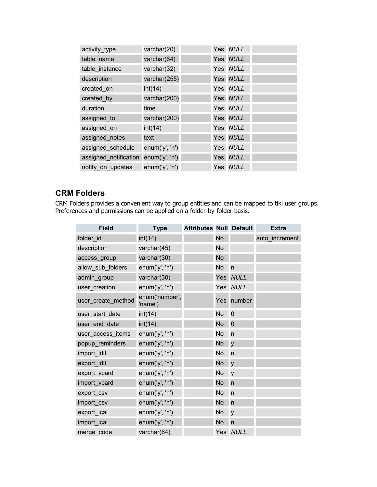| activity_type         | varchar(20)    |  | Yes NULL |  |
|-----------------------|----------------|--|----------|--|
| table name            | varchar(64)    |  | Yes NULL |  |
| table instance        | varchar(32)    |  | Yes NULL |  |
| description           | varchar(255)   |  | Yes NULL |  |
| created_on            | int(14)        |  | Yes NULL |  |
| created_by            | varchar(200)   |  | Yes NULL |  |
| duration              | time           |  | Yes NULL |  |
| assigned to           | varchar(200)   |  | Yes NULL |  |
| assigned on           | int(14)        |  | Yes NULL |  |
| assigned notes        | text           |  | Yes NULL |  |
| assigned_schedule     | enum('y', 'n') |  | Yes NULL |  |
| assigned notification | enum('y', 'n') |  | Yes NULL |  |
| notify on updates     | enum('y', 'n') |  | Yes NULL |  |

## **CRM Folders**

CRM Folders provides a convenient way to group entities and can be mapped to tiki user groups. Preferences and permissions can be applied on a folder-by-folder basis.

| <b>Field</b>       | <b>Type</b>               | <b>Attributes Null Default</b> |           |                | <b>Extra</b>   |
|--------------------|---------------------------|--------------------------------|-----------|----------------|----------------|
| folder id          | int(14)                   |                                | <b>No</b> |                | auto_increment |
| description        | varchar(45)               |                                | <b>No</b> |                |                |
| access_group       | varchar(30)               |                                | <b>No</b> |                |                |
| allow_sub_folders  | enum('y', 'n')            |                                | <b>No</b> | n              |                |
| admin_group        | varchar(30)               |                                | Yes       | <b>NULL</b>    |                |
| user_creation      | enum('y', 'n')            |                                | Yes       | <b>NULL</b>    |                |
| user_create_method | enum('number',<br>'name') |                                | Yes       | number         |                |
| user_start_date    | int(14)                   |                                | <b>No</b> | $\overline{0}$ |                |
| user_end_date      | int(14)                   |                                | <b>No</b> | $\mathbf 0$    |                |
| user_access_items  | enum('y', 'n')            |                                | <b>No</b> | n              |                |
| popup_reminders    | enum('y', 'n')            |                                | <b>No</b> | y              |                |
| import Idif        | enum('y', 'n')            |                                | <b>No</b> | n              |                |
| export_Idif        | enum('y', 'n')            |                                | <b>No</b> | y              |                |
| export_vcard       | enum('y', 'n')            |                                | <b>No</b> | y              |                |
| import_vcard       | enum('y', 'n')            |                                | <b>No</b> | n              |                |
| export_csv         | enum('y', 'n')            |                                | <b>No</b> | n              |                |
| import_csv         | enum('y', 'n')            |                                | <b>No</b> | n              |                |
| export_ical        | enum('y', 'n')            |                                | <b>No</b> | $\mathsf{V}$   |                |
| import_ical        | enum('y', 'n')            |                                | <b>No</b> | n              |                |
| merge_code         | varchar(64)               |                                |           | Yes NULL       |                |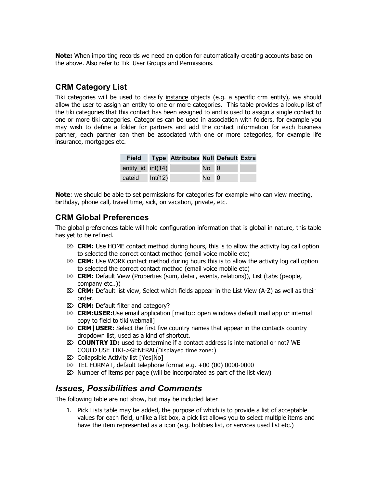**Note:** When importing records we need an option for automatically creating accounts base on the above. Also refer to Tiki User Groups and Permissions.

### **CRM Category List**

Tiki categories will be used to classify instance objects (e.g. a specific crm entity), we should allow the user to assign an entity to one or more categories. This table provides a lookup list of the tiki categories that this contact has been assigned to and is used to assign a single contact to one or more tiki categories. Categories can be used in association with folders, for example you may wish to define a folder for partners and add the contact information for each business partner, each partner can then be associated with one or more categories, for example life insurance, mortgages etc.

| <b>Field</b>      | Type Attributes Null Default Extra |        |  |
|-------------------|------------------------------------|--------|--|
| entity_id int(14) |                                    | $No$ 0 |  |
| cateid $Int(12)$  |                                    | $No$ 0 |  |

**Note:** we should be able to set permissions for categories for example who can view meeting, birthday, phone call, travel time, sick, on vacation, private, etc.

### **CRM Global Preferences**

The global preferences table will hold configuration information that is global in nature, this table has yet to be refined.

- $\otimes$  **CRM:** Use HOME contact method during hours, this is to allow the activity log call option to selected the correct contact method (email voice mobile etc)
- $\otimes$  **CRM:** Use WORK contact method during hours this is to allow the activity log call option to selected the correct contact method (email voice mobile etc)
- ⌦ **CRM:** Default View (Properties (sum, detail, events, relations)), List (tabs (people, company etc..))
- ⌦ **CRM:** Default list view, Select which fields appear in the List View (A-Z) as well as their order.
- ⌦ **CRM:** Default filter and category?
- ⌦ **CRM:USER:**Use email application [mailto:: open windows default mail app or internal copy to field to tiki webmail]
- ⌦ **CRM|USER:** Select the first five country names that appear in the contacts country dropdown list, used as a kind of shortcut.
- ⌦ **COUNTRY ID:** used to determine if a contact address is international or not? WE COULD USE TIKI->GENERAL(Displayed time zone:)
- $\boxtimes$  Collapsible Activity list [Yes|No]
- $\mathbb{Z}$  TEL FORMAT, default telephone format e.g. +00 (00) 0000-0000
- $\mathbb{Z}$  Number of items per page (will be incorporated as part of the list view)

### *Issues, Possibilities and Comments*

The following table are not show, but may be included later

1. Pick Lists table may be added, the purpose of which is to provide a list of acceptable values for each field, unlike a list box, a pick list allows you to select multiple items and have the item represented as a icon (e.g. hobbies list, or services used list etc.)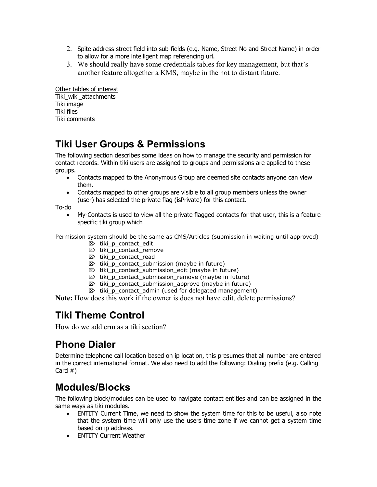- 2. Spite address street field into sub-fields (e.g. Name, Street No and Street Name) in-order to allow for a more intelligent map referencing url.
- 3. We should really have some credentials tables for key management, but that's another feature altogether a KMS, maybe in the not to distant future.

Other tables of interest Tiki\_wiki\_attachments Tiki image Tiki files Tiki comments

# **Tiki User Groups & Permissions**

The following section describes some ideas on how to manage the security and permission for contact records. Within tiki users are assigned to groups and permissions are applied to these groups.

- Contacts mapped to the Anonymous Group are deemed site contacts anyone can view them.
- Contacts mapped to other groups are visible to all group members unless the owner (user) has selected the private flag (isPrivate) for this contact.

To-do

• My-Contacts is used to view all the private flagged contacts for that user, this is a feature specific tiki group which

Permission system should be the same as CMS/Articles (submission in waiting until approved)

- $\boxtimes$  tiki p contact edit
- $\boxtimes$  tiki\_p\_contact remove
- ⌦ tiki\_p\_contact\_read
- $\triangleright$  tiki\_p\_contact\_submission (maybe in future)
- $\triangleright$  tiki\_p\_contact\_submission\_edit (maybe in future)
- $\triangleright$  tiki\_p\_contact\_submission\_remove (maybe in future)
- $\otimes$  tiki p contact submission approve (maybe in future)
- $\boxtimes$  tiki\_p\_contact\_admin (used for delegated management)

**Note:** How does this work if the owner is does not have edit, delete permissions?

# **Tiki Theme Control**

How do we add crm as a tiki section?

# **Phone Dialer**

Determine telephone call location based on ip location, this presumes that all number are entered in the correct international format. We also need to add the following: Dialing prefix (e.g. Calling Card #)

# **Modules/Blocks**

The following block/modules can be used to navigate contact entities and can be assigned in the same ways as tiki modules.

- ENTITY Current Time, we need to show the system time for this to be useful, also note that the system time will only use the users time zone if we cannot get a system time based on ip address.
- ENTITY Current Weather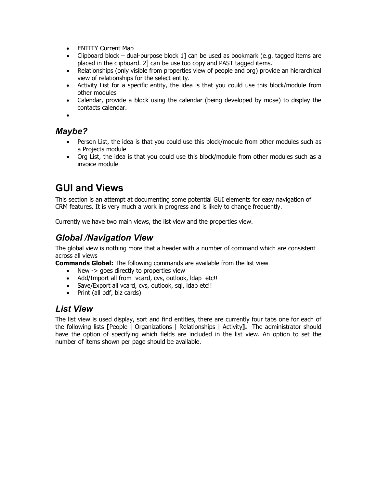- ENTITY Current Map
- Clipboard block dual-purpose block  $1$ ] can be used as bookmark (e.g. tagged items are placed in the clipboard. 2] can be use too copy and PAST tagged items.
- Relationships (only visible from properties view of people and org) provide an hierarchical view of relationships for the select entity.
- Activity List for a specific entity, the idea is that you could use this block/module from other modules
- Calendar, provide a block using the calendar (being developed by mose) to display the contacts calendar.

•

## *Maybe?*

- Person List, the idea is that you could use this block/module from other modules such as a Projects module
- Org List, the idea is that you could use this block/module from other modules such as a invoice module

# **GUI and Views**

This section is an attempt at documenting some potential GUI elements for easy navigation of CRM features. It is very much a work in progress and is likely to change frequently.

Currently we have two main views, the list view and the properties view.

## *Global /Navigation View*

The global view is nothing more that a header with a number of command which are consistent across all views

**Commands Global:** The following commands are available from the list view

- New -> goes directly to properties view
- Add/Import all from vcard, cvs, outlook, Idap etc!!
- Save/Export all vcard, cvs, outlook, sql, Idap etc!!
- Print (all pdf, biz cards)

### *List View*

The list view is used display, sort and find entities, there are currently four tabs one for each of the following lists **[**People | Organizations | Relationships | Activity**].** The administrator should have the option of specifying which fields are included in the list view. An option to set the number of items shown per page should be available.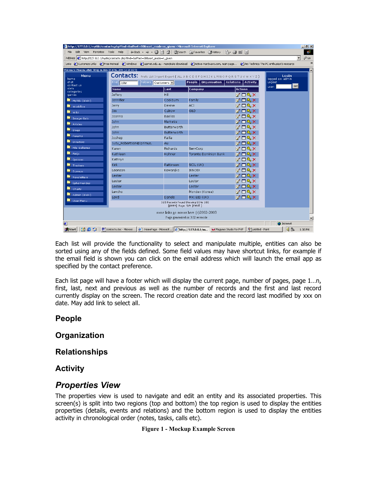|                     | Links @]Customize Links @]Free Hotmail @]Windows @]aarnet.edu.au - mandrake download @]Active-Hardware.com, main page @]Ars Technica The PC enthusiast's resource |                                                                 |                                                                                                      |                                         |                           |  |
|---------------------|-------------------------------------------------------------------------------------------------------------------------------------------------------------------|-----------------------------------------------------------------|------------------------------------------------------------------------------------------------------|-----------------------------------------|---------------------------|--|
|                     | Welcome to Financial Affairs Group on Mon 14 of Jul, 2003 [13:23 BD T]                                                                                            |                                                                 |                                                                                                      |                                         |                           |  |
| Menu<br>home        |                                                                                                                                                                   |                                                                 | <b>Contacts:</b> Prefs List Import Export (ALL A B C D E F G H I J K L M N O P Q R S T U V W X Y Z ) |                                         | Login<br>logged as: admin |  |
| chat<br>contact us  | Find John                                                                                                                                                         | Folders Customers -                                             | People   Organisation   Relations   Activity                                                         |                                         | Logout<br>set<br>user:    |  |
| stats<br>categories | <b>Name</b>                                                                                                                                                       | <b>Last</b>                                                     | Company                                                                                              | <b>Actions</b>                          |                           |  |
| <b>games</b>        | Jefferv                                                                                                                                                           | Hill                                                            |                                                                                                      | $\mathbb{Z} \boxplus \mathbb{Q} \times$ |                           |  |
| MyTiki (dick!)      | Jennifier                                                                                                                                                         | Cockburn                                                        | Family                                                                                               | <b>MEXX</b>                             |                           |  |
| <b>Workflow</b>     | Jerry                                                                                                                                                             | Devine                                                          | <b>ACI</b>                                                                                           | <b>ZESX</b>                             |                           |  |
| <b>Mar</b> Wiki     | Jim.                                                                                                                                                              | Calrow                                                          | G&D                                                                                                  | $\mathbb{Z} \boxplus \mathbb{Q} \times$ |                           |  |
| Image Gals          | Joanna                                                                                                                                                            | <b>Bayliss</b>                                                  |                                                                                                      | <b>ZO&amp;X</b>                         |                           |  |
| Articles            | John                                                                                                                                                              | Marketis                                                        |                                                                                                      | $\mathbb{Z} \boxplus \mathbb{Q} \times$ |                           |  |
| <b>Blogs</b>        | John                                                                                                                                                              | Butterworth                                                     |                                                                                                      | $\mathbb{Z}$ dq $\times$                |                           |  |
| Forums              | <b>John</b>                                                                                                                                                       | Butterworth                                                     |                                                                                                      | <b>MEXX</b>                             |                           |  |
| Directory           | Joshep                                                                                                                                                            | Failla                                                          |                                                                                                      | <b>MEXX</b>                             |                           |  |
|                     | Judy Robertson@Iprimus.                                                                                                                                           | Au                                                              |                                                                                                      | M d& X                                  |                           |  |
| File Galleries      | Karen                                                                                                                                                             | <b>Richards</b>                                                 | ServCorp                                                                                             | <b>ZOQX</b>                             |                           |  |
| <b>E</b> FAQS       | Kathleen                                                                                                                                                          | Hohner                                                          | <b>Toronto Dominion Bank</b>                                                                         | <b>MEXX</b>                             |                           |  |
| Quizzes             | Kathryn                                                                                                                                                           |                                                                 |                                                                                                      | <b>ZO&amp;X</b>                         |                           |  |
| Trackers            | <b>Kirk</b>                                                                                                                                                       | Pattinson                                                       | SCIL (UK)                                                                                            | $\mathbb{Y} \boxplus \mathbb{Q} \times$ |                           |  |
| Surveys             | Leonson                                                                                                                                                           | Kowaniko                                                        | <b>IKNOIX</b>                                                                                        | $\mathbb{Z} \boxplus \mathbb{Q} \times$ |                           |  |
| <b>Newsletters</b>  | Lester                                                                                                                                                            |                                                                 | Lester                                                                                               | <b>MEXX</b>                             |                           |  |
| Ephemerides         | Lester                                                                                                                                                            |                                                                 | Lester                                                                                               | <b>MEXX</b>                             |                           |  |
| Charts              | Lester                                                                                                                                                            |                                                                 | Lester                                                                                               | ME&X                                    |                           |  |
| Admin (dick!)       | Levcho                                                                                                                                                            |                                                                 | Mondex (Korea)                                                                                       | <b>MESX</b>                             |                           |  |
| User Menu           | Loyd                                                                                                                                                              | Danels                                                          | MXI EID (UK)                                                                                         | <b>MEXX</b>                             |                           |  |
|                     |                                                                                                                                                                   | 165 Records Found Showing 80 to 100<br>[prev] Page: 5/9 [next ] |                                                                                                      |                                         |                           |  |
|                     |                                                                                                                                                                   |                                                                 | some links go across here (c)2002-2003                                                               |                                         |                           |  |
|                     |                                                                                                                                                                   |                                                                 | Page generated in: 3.02 seconds                                                                      |                                         |                           |  |

Each list will provide the functionality to select and manipulate multiple, entities can also be sorted using any of the fields defined. Some field values may have shortcut links, for example if the email field is shown you can click on the email address which will launch the email app as specified by the contact preference.

Each list page will have a footer which will display the current page, number of pages, page 1…n, first, last, next and previous as well as the number of records and the first and last record currently display on the screen. The record creation date and the record last modified by xxx on date. May add link to select all.

### **People**

### **Organization**

**Relationships** 

**Activity** 

### *Properties View*

The properties view is used to navigate and edit an entity and its associated properties. This screen(s) is split into two regions (top and bottom) the top region is used to display the entities properties (details, events and relations) and the bottom region is used to display the entities activity in chronological order (notes, tasks, calls etc).

#### **Figure 1 - Mockup Example Screen**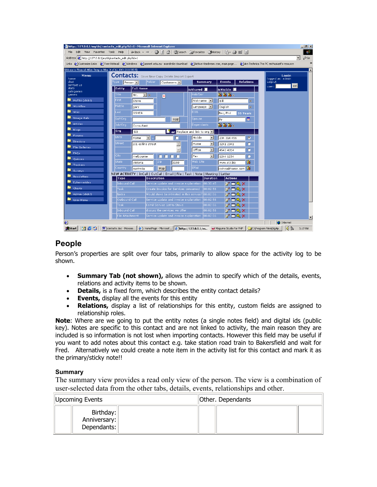| http://127.0.0.1/mytiki/contacts_edit.php?id=1 - Microsoft Internet Explorer                                                                                      |                     |                       |                                                                                                      |                                      |                                   |                  |                                  | $-1$ $-1 \times 1$ |
|-------------------------------------------------------------------------------------------------------------------------------------------------------------------|---------------------|-----------------------|------------------------------------------------------------------------------------------------------|--------------------------------------|-----------------------------------|------------------|----------------------------------|--------------------|
| Edit View Favorites Tools Help<br>File                                                                                                                            |                     |                       | ↓Back ▼ → → ③ 図 企   © Search Rij Favorites 《History   民 → 马 ■ 目                                      |                                      |                                   |                  |                                  | 48                 |
| Address [8] http://127.0.0.1/mytiki/contacts_edit.php?id=1                                                                                                        |                     |                       |                                                                                                      |                                      |                                   |                  |                                  | ⊘Go                |
| Links @ Customize Links @ Free Hotmail @ Windows @ aarnet.edu.au - mandrake download @ Active-Hardware.com, main page @ Ars Technica The PC enthusiast's resource |                     |                       |                                                                                                      |                                      |                                   |                  |                                  |                    |
| Welcome to Financial Affairs Group on Mon 14 of Jul, 2003 [15:15 BDT]                                                                                             |                     |                       |                                                                                                      |                                      |                                   |                  |                                  |                    |
| Menu<br>home                                                                                                                                                      |                     |                       | <b>Contacts:</b> Save New Copy Delete Import Export                                                  |                                      |                                   |                  | <b>Loain</b><br>logged as: admin |                    |
| chat                                                                                                                                                              | Type.<br>Person -   | Folder                | Customers -                                                                                          | <b>Summary</b>                       | Events                            | <b>Relations</b> | Logout                           |                    |
| contact us<br>stats.                                                                                                                                              | <b>Entity</b>       | <b>Full Name</b>      |                                                                                                      | isShared                             | isVisible <b>II</b>               |                  | set<br>user:                     |                    |
| categories<br>games                                                                                                                                               | Title               | Mr.<br>$\blacksquare$ | $\vert x \vert$                                                                                      | Hob/Ser                              | W W W .                           |                  |                                  |                    |
| MyTiki (dick!)                                                                                                                                                    | First.              | <b>Steve</b>          |                                                                                                      | Nickname -                           | Bill                              | Ŧ                |                                  |                    |
| <b>Workflow</b>                                                                                                                                                   | Middle              | lgary                 |                                                                                                      | Language - I                         | English                           | $\overline{+}$   |                                  |                    |
| <b>M</b> wiki                                                                                                                                                     | Last                | <b>OSHEA</b>          |                                                                                                      | DOB.                                 | Bsc, Phd                          | 35 Years         |                                  |                    |
| Image Gals                                                                                                                                                        | Suf/Org             |                       | Add                                                                                                  | Spouse                               | <b>Mr</b>                         | 圃                |                                  |                    |
| Articles                                                                                                                                                          | Job/Org             | Consultant            |                                                                                                      | Dependants                           | W W W .                           |                  |                                  |                    |
| <b>No</b> Blogs                                                                                                                                                   | Org                 | Si3                   |                                                                                                      | <b>For</b> Replace and link to org - |                                   |                  |                                  |                    |
| Forums                                                                                                                                                            | Units:              | ना<br>Home            | □                                                                                                    | Mobile<br>$\mathbf{r}$               | 234 314 456                       | $\bullet$        |                                  |                    |
| Directory                                                                                                                                                         | Street              | 101 collins street    | ≜                                                                                                    | $\vert$<br>Home                      | 3241 2341                         | o                |                                  |                    |
| File Galleries                                                                                                                                                    |                     |                       |                                                                                                      | Office<br>$\overline{ }$             | 4543 4314                         | o                |                                  |                    |
| $\blacksquare$ FAQs                                                                                                                                               | City                | melbourne             | п<br>п<br>п<br>п                                                                                     | $\vert \cdot \vert$<br>Fax           | 1244 1234                         | o                |                                  |                    |
| Quizzes                                                                                                                                                           | <b>State</b>        | lvictoria             | Zip<br>3150                                                                                          | Web Site                             | www.si3.biz                       | Y.               |                                  |                    |
| Trackers                                                                                                                                                          | Country             |                       | Map                                                                                                  | EMail                                |                                   |                  |                                  |                    |
| Surveys                                                                                                                                                           |                     | australia             | NEW ACTIVITY   InCall   OutCall   Email   File   Task   Note   Meeting   Letter                      |                                      | oshea@home.com                    |                  |                                  |                    |
| Newsletters                                                                                                                                                       | Type                | <b>Description</b>    |                                                                                                      | <b>Duration</b>                      | <b>Actions</b>                    |                  |                                  |                    |
| <b>Ephemerides</b>                                                                                                                                                | <b>Inbound Call</b> |                       | Service update and invoice explanation.                                                              | 00:30:45                             | <b>ZESX</b>                       |                  |                                  |                    |
| Charts                                                                                                                                                            | Task                |                       | Create Invoice for Services consumed                                                                 | 00:02:56                             | M D&X                             |                  |                                  |                    |
| Admin (click!)                                                                                                                                                    | <b>Notes</b>        |                       | Would steve be intrested in this service? 00:02:56                                                   |                                      | M d& X                            |                  |                                  |                    |
| User Menu                                                                                                                                                         | Outbound Call       |                       | Service update and invoice explanation                                                               | 00:02:56                             | <b>MERX</b>                       |                  |                                  |                    |
|                                                                                                                                                                   | Task                |                       | Eamil Service List to Steve                                                                          | 00:02:56                             | $\mathbb{Z} \boxtimes \mathbb{R}$ |                  |                                  |                    |
|                                                                                                                                                                   | Inbound Call        |                       | discuss the services we offer                                                                        | 00:02:56<br>00:02:56                 | <b>ZESX</b>                       |                  |                                  |                    |
|                                                                                                                                                                   | File Attachment     |                       | Service update and invoice explanation.                                                              |                                      | M DAX                             |                  |                                  |                    |
| æ1                                                                                                                                                                |                     |                       |                                                                                                      |                                      |                                   |                  | <b>O</b> Internet                |                    |
| <b>B</b> Start<br><b>deti</b>                                                                                                                                     |                     |                       | 网 contacts.doc - Microso   @  : HomePage - Microsof   @   http://127.0.0.1/m   Maguma Studio for PHP |                                      |                                   |                  | 48<br>C:\Program Files\BigAp     | 3:17 PM            |

### **People**

Person's properties are split over four tabs, primarily to allow space for the activity log to be shown.

- **Summary Tab (not shown),** allows the admin to specify which of the details, events, relations and activity items to be shown.
- **Details,** is a fixed form, which describes the entity contact details?
- **Events,** display all the events for this entity
- **Relations,** display a list of relationships for this entity, custom fields are assigned to relationship roles.

**Note**: Where are we going to put the entity notes (a single notes field) and digital ids (public key). Notes are specific to this contact and are not linked to activity, the main reason they are included is so information is not lost when importing contacts. However this field may be useful if you want to add notes about this contact e.g. take station road train to Bakersfield and wait for Fred. Alternatively we could create a note item in the activity list for this contact and mark it as the primary/sticky note!!

#### **Summary**

The summary view provides a read only view of the person. The view is a combination of user-selected data from the other tabs, details, events, relationships and other.

| Upcoming Events                          |  | Other. Dependants |  |  |  |  |
|------------------------------------------|--|-------------------|--|--|--|--|
| Birthday:<br>Anniversary:<br>Dependants: |  |                   |  |  |  |  |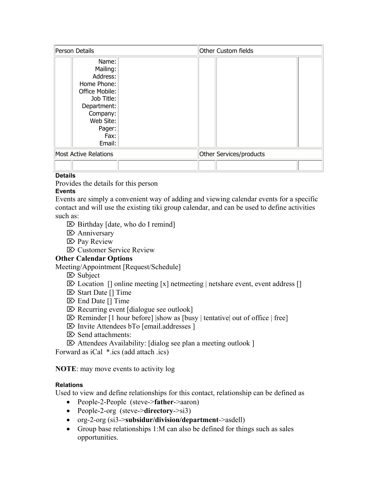| Person Details                                                                                                                                   |  | Other Custom fields     |  |
|--------------------------------------------------------------------------------------------------------------------------------------------------|--|-------------------------|--|
| Name:<br>Mailing:<br>Address:<br>Home Phone:<br>Office Mobile:<br>Job Title:<br>Department:<br>Company:<br>Web Site:<br>Pager:<br>Fax:<br>Email: |  |                         |  |
| <b>Most Active Relations</b>                                                                                                                     |  | Other Services/products |  |
|                                                                                                                                                  |  |                         |  |

#### **Details**

Provides the details for this person

#### **Events**

Events are simply a convenient way of adding and viewing calendar events for a specific contact and will use the existing tiki group calendar, and can be used to define activities such as:

- $\triangleright$  Birthday [date, who do I remind]
- ⌦ Anniversary
- ⌦ Pay Review
- ⌦ Customer Service Review

#### **Other Calendar Options**

Meeting/Appointment [Request/Schedule]

- ⌦ Subject
- $\boxtimes$  Location  $\Box$  online meeting  $\Box$  netmeeting | netshare event, event address  $\Box$
- ⌦ Start Date [] Time
- ⌦ End Date [] Time
- ⌦ Recurring event [dialogue see outlook]
- $\boxtimes$  Reminder [1 hour before] |show as [busy | tentative] out of office | free]
- ⌦ Invite Attendees bTo [email.addresses ]
- ⌦ Send attachments:
- ⌦ Attendees Availability: [dialog see plan a meeting outlook ]

Forward as iCal \*.ics (add attach .ics)

**NOTE**: may move events to activity log

#### **Relations**

Used to view and define relationships for this contact, relationship can be defined as

- People-2-People (steve->**father**->aaron)
- People-2-org (steve->**directory**->si3)
- org-2-org (si3->**subsidur/division/department**->asdell)
- Group base relationships 1:M can also be defined for things such as sales opportunities.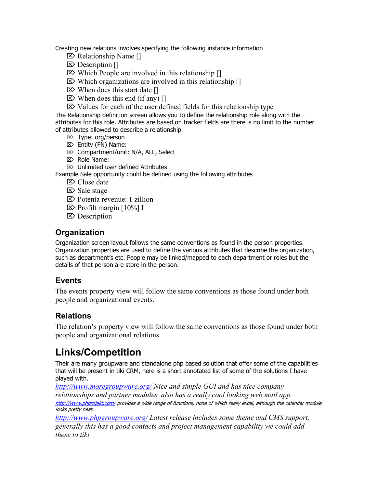Creating new relations involves specifying the following instance information

- ⌦ Relationship Name []
- $\triangleright$  Description  $\lceil \cdot \rceil$
- $\triangleright$  Which People are involved in this relationship []
- $\triangleright$  Which organizations are involved in this relationship []
- $\triangleright$  When does this start date  $\iota$
- $\triangleright$  When does this end (if any) []
- $\boxtimes$  Values for each of the user defined fields for this relationship type

The Relationship definition screen allows you to define the relationship role along with the attributes for this role. Attributes are based on tracker fields are there is no limit to the number of attributes allowed to describe a relationship.

- ⌦ Type: org/person
- ⌦ Entity (FN) Name:
- ⌦ Compartment/unit: N/A, ALL, Select
- ⌦ Role Name:
- $\mathbb{Z}$  Unlimited user defined Attributes

Example Sale opportunity could be defined using the following attributes

- ⌦ Close date
- ⌦ Sale stage
- ⌦ Potenta revenue: 1 zillion
- $\boxtimes$  Profilt margin [10%] I
- ⌦ Description

### **Organization**

Organization screen layout follows the same conventions as found in the person properties. Organization properties are used to define the various attributes that describe the organization, such as department's etc. People may be linked/mapped to each department or roles but the details of that person are store in the person.

### **Events**

The events property view will follow the same conventions as those found under both people and organizational events.

### **Relations**

The relation's property view will follow the same conventions as those found under both people and organizational relations.

# **Links/Competition**

Their are many groupware and standalone php based solution that offer some of the capabilities that will be present in tiki CRM, here is a short annotated list of some of the solutions I have played with.

*http://www.moregroupware.org/ Nice and simple GUI and has nice company*  relationships and partner modules, also has a really cool looking web mail app. http://www.phprojekt.com/ provides a wide range of functions, none of which really excel, although the calendar module looks pretty neat.

*http://www.phpgroupware.org/ Latest release includes some theme and CMS support, generally this has a good contacts and project management capability we could add these to tiki*